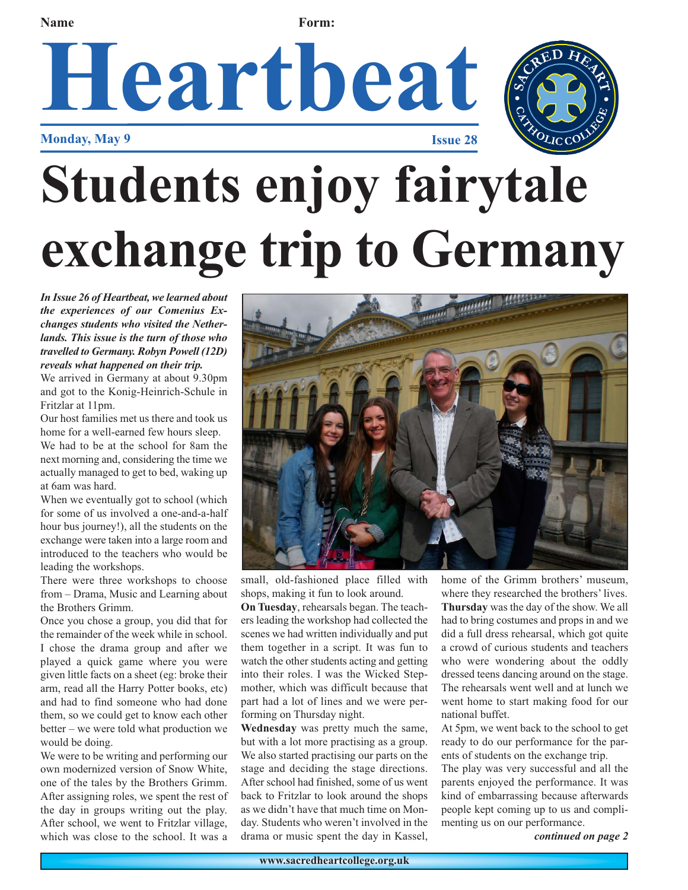# **Heartbeat Monday, May 9 Issue 28 Name Form:**



# **Students enjoy fairytale exchange trip to Germany**

*In Issue 26 of Heartbeat, we learned about the experiences of our Comenius Exchanges students who visited the Netherlands. This issue is the turn of those who travelled to Germany. Robyn Powell (12D) reveals what happened on their trip.* 

We arrived in Germany at about 9.30pm and got to the Konig-Heinrich-Schule in Fritzlar at 11pm.

Our host families met us there and took us home for a well-earned few hours sleep.

We had to be at the school for 8am the next morning and, considering the time we actually managed to get to bed, waking up at 6am was hard.

When we eventually got to school (which for some of us involved a one-and-a-half hour bus journey!), all the students on the exchange were taken into a large room and introduced to the teachers who would be leading the workshops.

There were three workshops to choose from – Drama, Music and Learning about the Brothers Grimm.

Once you chose a group, you did that for the remainder of the week while in school. I chose the drama group and after we played a quick game where you were given little facts on a sheet (eg: broke their arm, read all the Harry Potter books, etc) and had to find someone who had done them, so we could get to know each other better – we were told what production we would be doing.

We were to be writing and performing our own modernized version of Snow White, one of the tales by the Brothers Grimm. After assigning roles, we spent the rest of the day in groups writing out the play. After school, we went to Fritzlar village, which was close to the school. It was a



small, old-fashioned place filled with shops, making it fun to look around.

**On Tuesday**, rehearsals began. The teachers leading the workshop had collected the scenes we had written individually and put them together in a script. It was fun to watch the other students acting and getting into their roles. I was the Wicked Stepmother, which was difficult because that part had a lot of lines and we were performing on Thursday night.

**Wednesday** was pretty much the same, but with a lot more practising as a group. We also started practising our parts on the stage and deciding the stage directions. After school had finished, some of us went back to Fritzlar to look around the shops as we didn't have that much time on Monday. Students who weren't involved in the drama or music spent the day in Kassel,

home of the Grimm brothers' museum, where they researched the brothers' lives. **Thursday** was the day of the show. We all had to bring costumes and props in and we did a full dress rehearsal, which got quite a crowd of curious students and teachers who were wondering about the oddly dressed teens dancing around on the stage. The rehearsals went well and at lunch we went home to start making food for our national buffet.

At 5pm, we went back to the school to get ready to do our performance for the parents of students on the exchange trip.

The play was very successful and all the parents enjoyed the performance. It was kind of embarrassing because afterwards people kept coming up to us and complimenting us on our performance.

*continued on page 2*